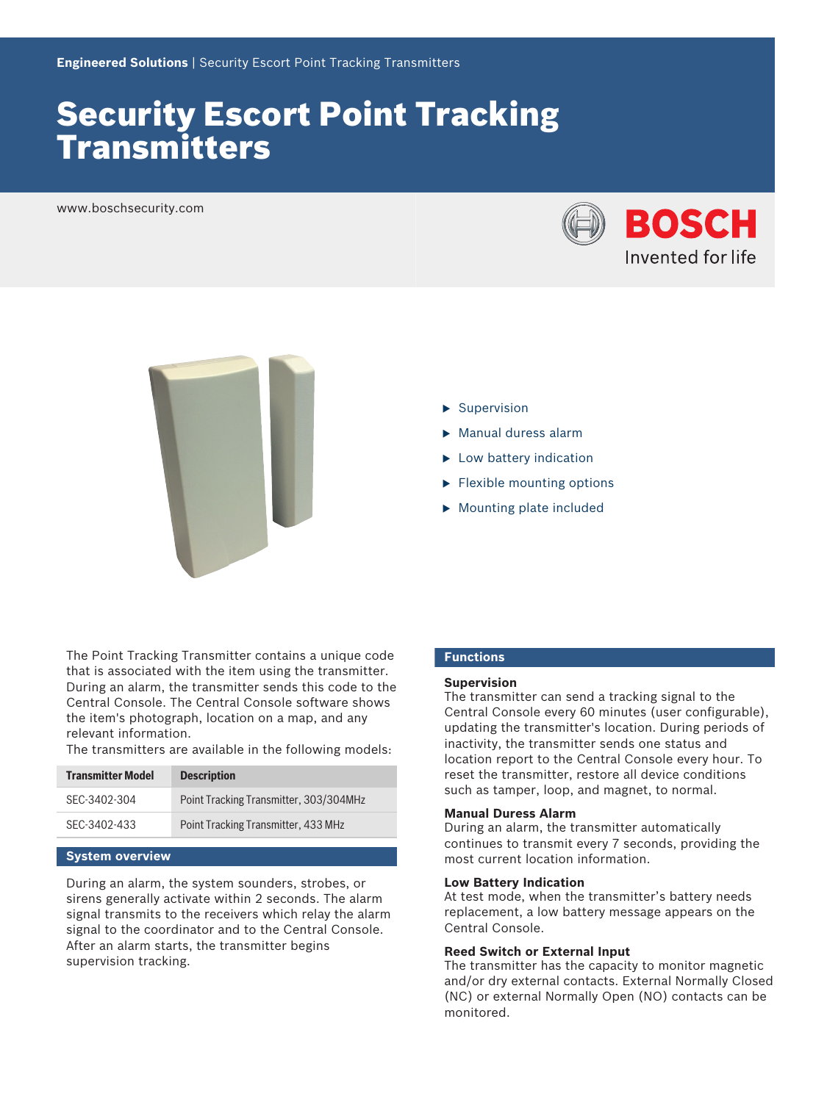# Security Escort Point Tracking Transmitters

www.boschsecurity.com





- $\blacktriangleright$  Supervision
- $\blacktriangleright$  Manual duress alarm
- $\blacktriangleright$  Low battery indication
- $\blacktriangleright$  Flexible mounting options
- $\triangleright$  Mounting plate included

The Point Tracking Transmitter contains a unique code that is associated with the item using the transmitter. During an alarm, the transmitter sends this code to the Central Console. The Central Console software shows the item's photograph, location on a map, and any relevant information.

The transmitters are available in the following models:

| <b>Transmitter Model</b> | <b>Description</b>                     |
|--------------------------|----------------------------------------|
| SFC-3402-304             | Point Tracking Transmitter, 303/304MHz |
| SEC-3402-433             | Point Tracking Transmitter, 433 MHz    |

### **System overview**

During an alarm, the system sounders, strobes, or sirens generally activate within 2 seconds. The alarm signal transmits to the receivers which relay the alarm signal to the coordinator and to the Central Console. After an alarm starts, the transmitter begins supervision tracking.

# **Functions**

#### **Supervision**

The transmitter can send a tracking signal to the Central Console every 60 minutes (user configurable), updating the transmitter's location. During periods of inactivity, the transmitter sends one status and location report to the Central Console every hour. To reset the transmitter, restore all device conditions such as tamper, loop, and magnet, to normal.

## **Manual Duress Alarm**

During an alarm, the transmitter automatically continues to transmit every 7 seconds, providing the most current location information.

# **Low Battery Indication**

At test mode, when the transmitter's battery needs replacement, a low battery message appears on the Central Console.

# **Reed Switch or External Input**

The transmitter has the capacity to monitor magnetic and/or dry external contacts. External Normally Closed (NC) or external Normally Open (NO) contacts can be monitored.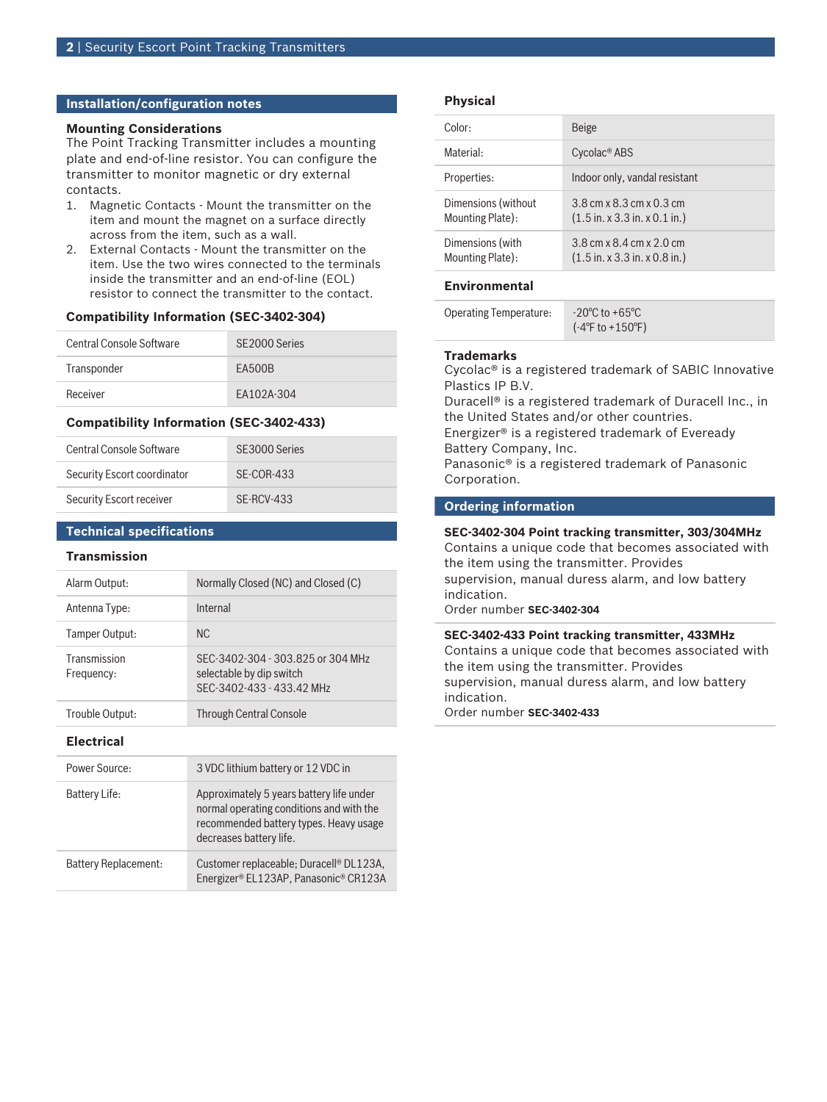### **Installation/configuration notes**

#### **Mounting Considerations**

The Point Tracking Transmitter includes a mounting plate and end-of-line resistor. You can configure the transmitter to monitor magnetic or dry external contacts.

- 1. Magnetic Contacts Mount the transmitter on the item and mount the magnet on a surface directly across from the item, such as a wall.
- 2. External Contacts Mount the transmitter on the item. Use the two wires connected to the terminals inside the transmitter and an end-of-line (EOL) resistor to connect the transmitter to the contact.

#### **Compatibility Information (SEC-3402-304)**

| Central Console Software | SE2000 Series |
|--------------------------|---------------|
| Transponder              | <b>FA500B</b> |
| Receiver                 | EA102A-304    |

## **Compatibility Information (SEC-3402-433)**

| Central Console Software    | SE3000 Series |
|-----------------------------|---------------|
| Security Escort coordinator | $SF-COR-433$  |
| Security Escort receiver    | SF-RCV-433    |

# **Technical specifications**

# **Transmission**

| Alarm Output:              | Normally Closed (NC) and Closed (C)                                                        |
|----------------------------|--------------------------------------------------------------------------------------------|
| Antenna Type:              | Internal                                                                                   |
| Tamper Output:             | NC.                                                                                        |
| Transmission<br>Frequency: | SEC-3402-304 - 303.825 or 304 MHz<br>selectable by dip switch<br>SFC-3402-433 - 433.42 MHz |
| Trouble Output:            | <b>Through Central Console</b>                                                             |

#### **Electrical**

| Power Source:               | 3 VDC lithium battery or 12 VDC in                                                                                                                        |
|-----------------------------|-----------------------------------------------------------------------------------------------------------------------------------------------------------|
| Battery Life:               | Approximately 5 years battery life under<br>normal operating conditions and with the<br>recommended battery types. Heavy usage<br>decreases battery life. |
| <b>Battery Replacement:</b> | Customer replaceable; Duracell <sup>®</sup> DL123A,<br>Energizer® EL123AP, Panasonic® CR123A                                                              |

#### **Physical**

| Color:                                  | <b>Beige</b>                                                                          |
|-----------------------------------------|---------------------------------------------------------------------------------------|
| Material:                               | Cycolac <sup>®</sup> ABS                                                              |
| Properties:                             | Indoor only, vandal resistant                                                         |
| Dimensions (without<br>Mounting Plate): | 3.8 cm x 8.3 cm x 0.3 cm<br>$(1.5$ in. x 3.3 in. x 0.1 in.)                           |
| Dimensions (with<br>Mounting Plate):    | 3.8 cm x 8.4 cm x 2.0 cm<br>$(1.5 \text{ in. x } 3.3 \text{ in. x } 0.8 \text{ in.})$ |
|                                         |                                                                                       |

#### **Environmental**

| <b>Operating Temperature:</b> | $-20^{\circ}$ C to $+65^{\circ}$ C    |
|-------------------------------|---------------------------------------|
|                               | $(-4^{\circ}$ F to +150 $^{\circ}$ F) |

#### **Trademarks**

Cycolac® is a registered trademark of SABIC Innovative Plastics IP B.V. Duracell® is a registered trademark of Duracell Inc., in the United States and/or other countries. Energizer® is a registered trademark of Eveready Battery Company, Inc. Panasonic® is a registered trademark of Panasonic Corporation.

# **Ordering information**

### **SEC-3402-304 Point tracking transmitter, 303/304MHz**

Contains a unique code that becomes associated with the item using the transmitter. Provides supervision, manual duress alarm, and low battery indication.

Order number **SEC-3402-304**

# **SEC-3402-433 Point tracking transmitter, 433MHz** Contains a unique code that becomes associated with the item using the transmitter. Provides supervision, manual duress alarm, and low battery indication. Order number **SEC-3402-433**